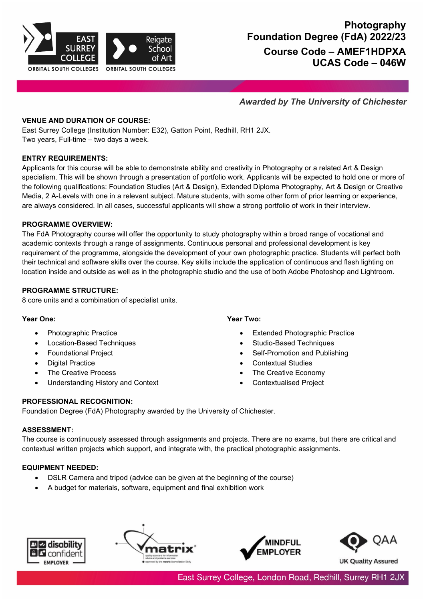

# **Photography Foundation Degree (FdA) 2022/23 Course Code – AMEF1HDPXA UCAS Code – 046W**

# *Awarded by The University of Chichester*

### **VENUE AND DURATION OF COURSE:**

East Surrey College (Institution Number: E32), Gatton Point, Redhill, RH1 2JX. Two years, Full-time – two days a week.

### **ENTRY REQUIREMENTS:**

Applicants for this course will be able to demonstrate ability and creativity in Photography or a related Art & Design specialism. This will be shown through a presentation of portfolio work. Applicants will be expected to hold one or more of the following qualifications: Foundation Studies (Art & Design), Extended Diploma Photography, Art & Design or Creative Media, 2 A-Levels with one in a relevant subject. Mature students, with some other form of prior learning or experience, are always considered. In all cases, successful applicants will show a strong portfolio of work in their interview.

### **PROGRAMME OVERVIEW:**

The FdA Photography course will offer the opportunity to study photography within a broad range of vocational and academic contexts through a range of assignments. Continuous personal and professional development is key requirement of the programme, alongside the development of your own photographic practice. Students will perfect both their technical and software skills over the course. Key skills include the application of continuous and flash lighting on location inside and outside as well as in the photographic studio and the use of both Adobe Photoshop and Lightroom.

### **PROGRAMME STRUCTURE:**

8 core units and a combination of specialist units.

### **Year One:**

- Photographic Practice
- Location-Based Techniques
- Foundational Project
- **Digital Practice**
- The Creative Process
- Understanding History and Context

**Year Two:**

- **Extended Photographic Practice**
- Studio-Based Techniques
- Self-Promotion and Publishing
- Contextual Studies
- The Creative Economy
- Contextualised Project

### **PROFESSIONAL RECOGNITION:**

Foundation Degree (FdA) Photography awarded by the University of Chichester.

# **ASSESSMENT:**

The course is continuously assessed through assignments and projects. There are no exams, but there are critical and contextual written projects which support, and integrate with, the practical photographic assignments.

# **EQUIPMENT NEEDED:**

- DSLR Camera and tripod (advice can be given at the beginning of the course)
- A budget for materials, software, equipment and final exhibition work